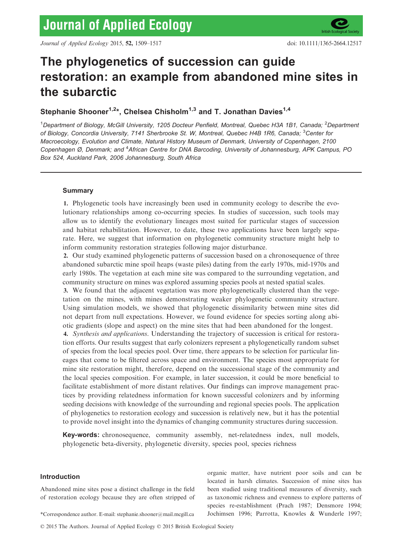# The phylogenetics of succession can guide restoration: an example from abandoned mine sites in the subarctic

# Stephanie Shooner<sup>1,2\*</sup>, Chelsea Chisholm<sup>1,3</sup> and T. Jonathan Davies<sup>1,4</sup>

<sup>1</sup>Department of Biology, McGill University, 1205 Docteur Penfield, Montreal, Quebec H3A 1B1, Canada; <sup>2</sup>Department of Biology, Concordia University, 7141 Sherbrooke St. W, Montreal, Quebec H4B 1R6, Canada; <sup>3</sup>Center for Macroecology, Evolution and Climate, Natural History Museum of Denmark, University of Copenhagen, 2100 Copenhagen Ø, Denmark; and <sup>4</sup>African Centre for DNA Barcoding, University of Johannesburg, APK Campus, PO Box 524, Auckland Park, 2006 Johannesburg, South Africa

# **Summary**

1. Phylogenetic tools have increasingly been used in community ecology to describe the evolutionary relationships among co-occurring species. In studies of succession, such tools may allow us to identify the evolutionary lineages most suited for particular stages of succession and habitat rehabilitation. However, to date, these two applications have been largely separate. Here, we suggest that information on phylogenetic community structure might help to inform community restoration strategies following major disturbance.

2. Our study examined phylogenetic patterns of succession based on a chronosequence of three abandoned subarctic mine spoil heaps (waste piles) dating from the early 1970s, mid-1970s and early 1980s. The vegetation at each mine site was compared to the surrounding vegetation, and community structure on mines was explored assuming species pools at nested spatial scales.

3. We found that the adjacent vegetation was more phylogenetically clustered than the vegetation on the mines, with mines demonstrating weaker phylogenetic community structure. Using simulation models, we showed that phylogenetic dissimilarity between mine sites did not depart from null expectations. However, we found evidence for species sorting along abiotic gradients (slope and aspect) on the mine sites that had been abandoned for the longest.

4. Synthesis and applications. Understanding the trajectory of succession is critical for restoration efforts. Our results suggest that early colonizers represent a phylogenetically random subset of species from the local species pool. Over time, there appears to be selection for particular lineages that come to be filtered across space and environment. The species most appropriate for mine site restoration might, therefore, depend on the successional stage of the community and the local species composition. For example, in later succession, it could be more beneficial to facilitate establishment of more distant relatives. Our findings can improve management practices by providing relatedness information for known successful colonizers and by informing seeding decisions with knowledge of the surrounding and regional species pools. The application of phylogenetics to restoration ecology and succession is relatively new, but it has the potential to provide novel insight into the dynamics of changing community structures during succession.

Key-words: chronosequence, community assembly, net-relatedness index, null models, phylogenetic beta-diversity, phylogenetic diversity, species pool, species richness

# Introduction

Abandoned mine sites pose a distinct challenge in the field of restoration ecology because they are often stripped of

organic matter, have nutrient poor soils and can be located in harsh climates. Succession of mine sites has been studied using traditional measures of diversity, such as taxonomic richness and evenness to explore patterns of species re-establishment (Prach 1987; Densmore 1994; \*Correspondence author. E-mail: stephanie.shooner@mail.mcgill.ca Jochimsen 1996; Parrotta, Knowles & Wunderle 1997;

© 2015 The Authors. Journal of Applied Ecology © 2015 British Ecological Society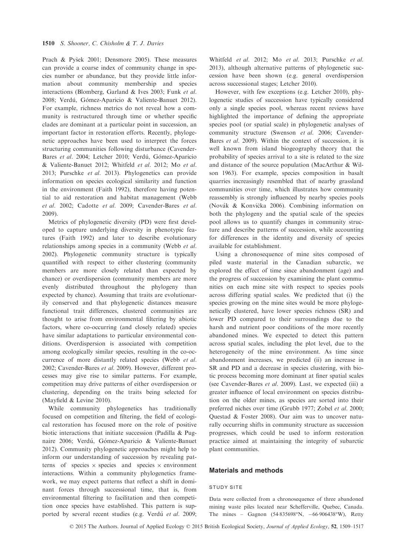Prach & Pysek 2001; Densmore 2005). These measures can provide a coarse index of community change in species number or abundance, but they provide little information about community membership and species interactions (Blomberg, Garland & Ives 2003; Funk et al. 2008; Verdú, Gómez-Aparicio & Valiente-Banuet 2012). For example, richness metrics do not reveal how a community is restructured through time or whether specific clades are dominant at a particular point in succession, an important factor in restoration efforts. Recently, phylogenetic approaches have been used to interpret the forces structuring communities following disturbance (Cavender-Bares et al. 2004; Letcher 2010; Verdú, Gómez-Aparicio & Valiente-Banuet 2012; Whitfeld et al. 2012; Mo et al. 2013; Purschke et al. 2013). Phylogenetics can provide information on species ecological similarity and function in the environment (Faith 1992), therefore having potential to aid restoration and habitat management (Webb et al. 2002; Cadotte et al. 2009; Cavender-Bares et al. 2009).

Metrics of phylogenetic diversity (PD) were first developed to capture underlying diversity in phenotypic features (Faith 1992) and later to describe evolutionary relationships among species in a community (Webb et al. 2002). Phylogenetic community structure is typically quantified with respect to either clustering (community members are more closely related than expected by chance) or overdispersion (community members are more evenly distributed throughout the phylogeny than expected by chance). Assuming that traits are evolutionarily conserved and that phylogenetic distances measure functional trait differences, clustered communities are thought to arise from environmental filtering by abiotic factors, where co-occurring (and closely related) species have similar adaptations to particular environmental conditions. Overdispersion is associated with competition among ecologically similar species, resulting in the co-occurrence of more distantly related species (Webb et al. 2002; Cavender-Bares et al. 2009). However, different processes may give rise to similar patterns. For example, competition may drive patterns of either overdispersion or clustering, depending on the traits being selected for (Mayfield & Levine 2010).

While community phylogenetics has traditionally focused on competition and filtering, the field of ecological restoration has focused more on the role of positive biotic interactions that initiate succession (Padilla & Pugnaire 2006; Verdú, Gómez-Aparicio & Valiente-Banuet 2012). Community phylogenetic approaches might help to inform our understanding of succession by revealing patterns of species  $\times$  species and species  $\times$  environment interactions. Within a community phylogenetics framework, we may expect patterns that reflect a shift in dominant forces through successional time, that is, from environmental filtering to facilitation and then competition once species have established. This pattern is supported by several recent studies (e.g. Verdú et al. 2009; Whitfeld et al. 2012; Mo et al. 2013; Purschke et al. 2013), although alternative patterns of phylogenetic succession have been shown (e.g. general overdispersion across successional stages; Letcher 2010).

However, with few exceptions (e.g. Letcher 2010), phylogenetic studies of succession have typically considered only a single species pool, whereas recent reviews have highlighted the importance of defining the appropriate species pool (or spatial scale) in phylogenetic analyses of community structure (Swenson et al. 2006; Cavender-Bares et al. 2009). Within the context of succession, it is well known from island biogeography theory that the probability of species arrival to a site is related to the size and distance of the source population (MacArthur & Wilson 1963). For example, species composition in basalt quarries increasingly resembled that of nearby grassland communities over time, which illustrates how community reassembly is strongly influenced by nearby species pools (Novak & Konvicka 2006). Combining information on both the phylogeny and the spatial scale of the species pool allows us to quantify changes in community structure and describe patterns of succession, while accounting for differences in the identity and diversity of species available for establishment.

Using a chronosequence of mine sites composed of piled waste material in the Canadian subarctic, we explored the effect of time since abandonment (age) and the progress of succession by examining the plant communities on each mine site with respect to species pools across differing spatial scales. We predicted that (i) the species growing on the mine sites would be more phylogenetically clustered, have lower species richness (SR) and lower PD compared to their surroundings due to the harsh and nutrient poor conditions of the more recently abandoned mines. We expected to detect this pattern across spatial scales, including the plot level, due to the heterogeneity of the mine environment. As time since abandonment increases, we predicted (ii) an increase in SR and PD and a decrease in species clustering, with biotic process becoming more dominant at finer spatial scales (see Cavender-Bares et al. 2009). Last, we expected (iii) a greater influence of local environment on species distribution on the older mines, as species are sorted into their preferred niches over time (Grubb 1977; Zobel et al. 2000; Questad & Foster 2008). Our aim was to uncover naturally occurring shifts in community structure as succession progresses, which could be used to inform restoration practice aimed at maintaining the integrity of subarctic plant communities.

# Materials and methods

#### STUDY SITE

Data were collected from a chronosequence of three abandoned mining waste piles located near Schefferville, Quebec, Canada. The mines – Gagnon (54.835698°N,  $-66.906438$ °W), Retty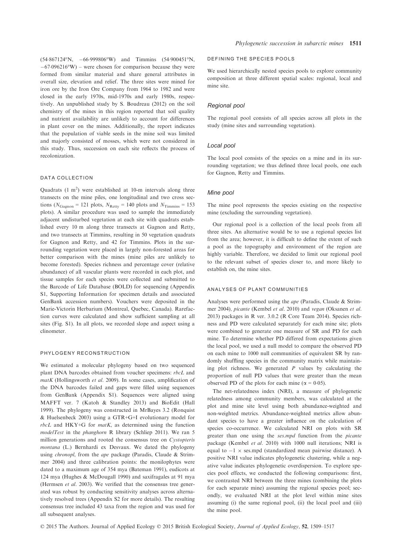(54867124°N, 66999806°W) and Timmins (54900451°N,  $-67.096216$ °W) – were chosen for comparison because they were formed from similar material and share general attributes in overall size, elevation and relief. The three sites were mined for iron ore by the Iron Ore Company from 1964 to 1982 and were closed in the early 1970s, mid-1970s and early 1980s, respectively. An unpublished study by S. Boudreau (2012) on the soil chemistry of the mines in this region reported that soil quality and nutrient availability are unlikely to account for differences in plant cover on the mines. Additionally, the report indicates that the population of viable seeds in the mine soil was limited and majorly consisted of mosses, which were not considered in this study. Thus, succession on each site reflects the process of recolonization.

#### DATA COLLECTION

Quadrats  $(1 \text{ m}^2)$  were established at 10-m intervals along three transects on the mine piles, one longitudinal and two cross sections ( $N_{\text{Gagnon}} = 121$  plots,  $N_{\text{Retty}} = 140$  plots and  $N_{\text{Timmins}} = 153$ plots). A similar procedure was used to sample the immediately adjacent undisturbed vegetation at each site with quadrats established every 10 m along three transects at Gagnon and Retty, and two transects at Timmins, resulting in 50 vegetation quadrats for Gagnon and Retty, and 42 for Timmins. Plots in the surrounding vegetation were placed in largely non-forested areas for better comparison with the mines (mine piles are unlikely to become forested). Species richness and percentage cover (relative abundance) of all vascular plants were recorded in each plot, and tissue samples for each species were collected and submitted to the Barcode of Life Database (BOLD) for sequencing (Appendix S1, Supporting Information for specimen details and associated GenBank accession numbers). Vouchers were deposited in the Marie-Victorin Herbarium (Montreal, Quebec, Canada). Rarefaction curves were calculated and show sufficient sampling at all sites (Fig. S1). In all plots, we recorded slope and aspect using a clinometer.

#### PHYLOGENY RECONSTRUCTION

We estimated a molecular phylogeny based on two sequenced plant DNA barcodes obtained from voucher specimens: rbcL and  $m \times (H$ ollingsworth et al. 2009). In some cases, amplification of the DNA barcodes failed and gaps were filled using sequences from GenBank (Appendix S1). Sequences were aligned using MAFFT ver. 7 (Katoh & Standley 2013) and BioEdit (Hall 1999). The phylogeny was constructed in MrBayes 3.2 (Ronquist & Huelsenbeck 2003) using a GTR+G+I evolutionary model for  $rbcL$  and  $HKY+G$  for  $matK$ , as determined using the function modelTest in the phanghorn R library (Schliep 2011). We ran 5 million generations and rooted the consensus tree on Cystopteris montana (L.) Bernhardi ex Desvaux. We dated the phylogeny using *chronopl*, from the *ape* package (Paradis, Claude & Strimmer 2004) and three calibration points: the monilophytes were dated to a maximum age of 354 mya (Bateman 1991), eudicots at 124 mya (Hughes & McDougall 1990) and saxifragales at 91 mya (Hermsen et al. 2003). We verified that the consensus tree generated was robust by conducting sensitivity analyses across alternatively resolved trees (Appendix S2 for more details). The resulting consensus tree included 43 taxa from the region and was used for all subsequent analyses.

#### DEFINING THE SPECIES POOLS

We used hierarchically nested species pools to explore community composition at three different spatial scales: regional, local and mine site.

#### Regional pool

The regional pool consists of all species across all plots in the study (mine sites and surrounding vegetation).

#### Local pool

The local pool consists of the species on a mine and in its surrounding vegetation; we thus defined three local pools, one each for Gagnon, Retty and Timmins.

#### Mine pool

The mine pool represents the species existing on the respective mine (excluding the surrounding vegetation).

Our regional pool is a collection of the local pools from all three sites. An alternative would be to use a regional species list from the area; however, it is difficult to define the extent of such a pool as the topography and environment of the region are highly variable. Therefore, we decided to limit our regional pool to the relevant subset of species closer to, and more likely to establish on, the mine sites.

#### ANALYSES OF PLANT COMMUNITIES

Analyses were performed using the ape (Paradis, Claude & Strimmer 2004), picante (Kembel et al. 2010) and vegan (Oksanen et al. 2013) packages in R ver. 3.0.2 (R Core Team 2014). Species richness and PD were calculated separately for each mine site; plots were combined to generate one measure of SR and PD for each mine. To determine whether PD differed from expectations given the local pool, we used a null model to compare the observed PD on each mine to 1000 null communities of equivalent SR by randomly shuffling species in the community matrix while maintaining plot richness. We generated  $P$  values by calculating the proportion of null PD values that were greater than the mean observed PD of the plots for each mine ( $\alpha = 0.05$ ).

The net-relatedness index (NRI), a measure of phylogenetic relatedness among community members, was calculated at the plot and mine site level using both abundance-weighted and non-weighted metrics. Abundance-weighted metrics allow abundant species to have a greater influence on the calculation of species co-occurrence. We calculated NRI on plots with SR greater than one using the *ses.mpd* function from the *picante* package (Kembel et al. 2010) with 1000 null iterations; NRI is equal to  $-1 \times$  ses.mpd (standardized mean pairwise distance). A positive NRI value indicates phylogenetic clustering, while a negative value indicates phylogenetic overdispersion. To explore species pool effects, we conducted the following comparisons: first, we contrasted NRI between the three mines (combining the plots for each separate mine) assuming the regional species pool; secondly, we evaluated NRI at the plot level within mine sites assuming (i) the same regional pool, (ii) the local pool and (iii) the mine pool.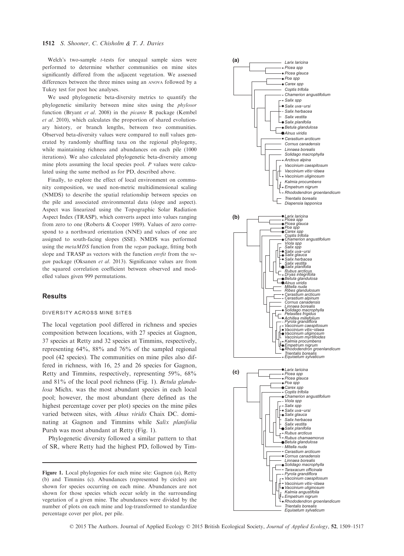Welch's two-sample *t*-tests for unequal sample sizes were performed to determine whether communities on mine sites significantly differed from the adjacent vegetation. We assessed differences between the three mines using an ANOVA followed by a Tukey test for post hoc analyses.

We used phylogenetic beta-diversity metrics to quantify the phylogenetic similarity between mine sites using the phylosor function (Bryant et al. 2008) in the picante R package (Kembel et al. 2010), which calculates the proportion of shared evolutionary history, or branch lengths, between two communities. Observed beta-diversity values were compared to null values generated by randomly shuffling taxa on the regional phylogeny, while maintaining richness and abundances on each pile (1000 iterations). We also calculated phylogenetic beta-diversity among mine plots assuming the local species pool.  $P$  values were calculated using the same method as for PD, described above.

Finally, to explore the effect of local environment on community composition, we used non-metric multidimensional scaling (NMDS) to describe the spatial relationship between species on the pile and associated environmental data (slope and aspect). Aspect was linearized using the Topographic Solar Radiation Aspect Index (TRASP), which converts aspect into values ranging from zero to one (Roberts & Cooper 1989). Values of zero correspond to a northward orientation (NNE) and values of one are assigned to south-facing slopes (SSE). NMDS was performed using the *metaMDS* function from the *vegan* package, fitting both slope and TRASP as vectors with the function *envfit* from the *ve*gan package (Oksanen et al. 2013). Significance values are from the squared correlation coefficient between observed and modelled values given 999 permutations.

#### **Results**

#### DIVERSITY ACROSS MINE SITES

The local vegetation pool differed in richness and species composition between locations, with 27 species at Gagnon, 37 species at Retty and 32 species at Timmins, respectively, representing 64%, 88% and 76% of the sampled regional pool (42 species). The communities on mine piles also differed in richness, with 16, 25 and 26 species for Gagnon, Retty and Timmins, respectively, representing 59%, 68% and 81% of the local pool richness (Fig. 1). Betula glandulosa Michx. was the most abundant species in each local pool; however, the most abundant (here defined as the highest percentage cover per plot) species on the mine piles varied between sites, with Alnus viridis Chaix DC. dominating at Gagnon and Timmins while Salix planifolia Pursh was most abundant at Retty (Fig. 1).

Phylogenetic diversity followed a similar pattern to that of SR, where Retty had the highest PD, followed by Tim-

Figure 1. Local phylogenies for each mine site: Gagnon (a), Retty (b) and Timmins (c). Abundances (represented by circles) are shown for species occurring on each mine. Abundances are not shown for those species which occur solely in the surrounding vegetation of a given mine. The abundances were divided by the number of plots on each mine and log-transformed to standardize percentage cover per plot, per pile.



© 2015 The Authors. Journal of Applied Ecology © 2015 British Ecological Society, Journal of Applied Ecology, 52, 1509–1517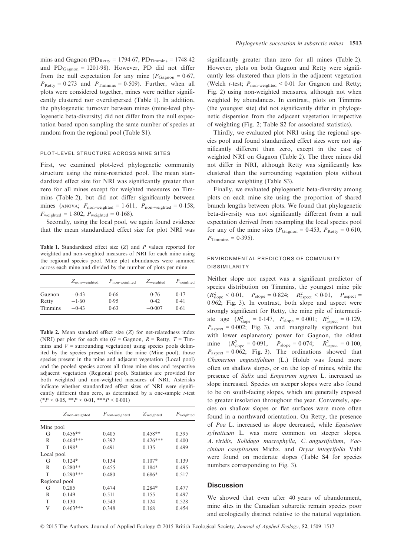mins and Gagnon ( $PD_{\text{Retty}} = 1794.67$ ,  $PD_{\text{Timmins}} = 1748.42$ and  $PD_{\text{Gagnon}} = 1201.98$ ). However, PD did not differ from the null expectation for any mine ( $P_{\text{Gagnon}} = 0.67$ ,  $P_{\text{Retty}} = 0.273$  and  $P_{\text{Timmins}} = 0.509$ ). Further, when all plots were considered together, mines were neither significantly clustered nor overdispersed (Table 1). In addition, the phylogenetic turnover between mines (mine-level phylogenetic beta-diversity) did not differ from the null expectation based upon sampling the same number of species at random from the regional pool (Table S1).

#### PLOT-LEVEL STRUCTURE ACROSS MINE SITES

First, we examined plot-level phylogenetic community structure using the mine-restricted pool. The mean standardized effect size for NRI was significantly greater than zero for all mines except for weighted measures on Timmins (Table 2), but did not differ significantly between mines (ANOVA;  $F_{\text{non-weighted}} = 1.611$ ,  $P_{\text{non-weighted}} = 0.158$ ;  $F_{weighted} = 1.802$ ,  $P_{weighted} = 0.168$ .

Secondly, using the local pool, we again found evidence that the mean standardized effect size for plot NRI was

Table 1. Standardized effect size  $(Z)$  and P values reported for weighted and non-weighted measures of NRI for each mine using the regional species pool. Mine plot abundances were summed across each mine and divided by the number of plots per mine

|                | $Z_{\text{non-weighted}}$ | $P_{\text{non-weighted}}$ | $Z_{weighted}$ | $P_{weighted}$ |
|----------------|---------------------------|---------------------------|----------------|----------------|
| Gagnon         | $-0.43$                   | 0.66                      | 0.76           | 0.17           |
| Retty          | $-1.60$                   | 0.95                      | 0.42           | 0.41           |
| <b>Timmins</b> | $-0.43$                   | 0.63                      | $-0.007$       | 0.61           |

Table 2. Mean standard effect size (Z) for net-relatedness index (NRI) per plot for each site ( $G = \text{Gagnon}, R = \text{Retty}, T = \text{Tim}$ mins and  $V =$  surrounding vegetation) using species pools delimited by the species present within the mine (Mine pool), those species present in the mine and adjacent vegetation (Local pool) and the pooled species across all three mine sites and respective adjacent vegetation (Regional pool). Statistics are provided for both weighted and non-weighted measures of NRI. Asterisks indicate whether standardized effect sizes of NRI were significantly different than zero, as determined by a one-sample  $t$ -test  $(*P < 0.05, **P < 0.01, **P < 0.001)$ 

|            | $Z_{\text{non-weighted}}$ | $P_{\text{non-weighted}}$ | $Z_{weighted}$ | $P_{weighted}$ |
|------------|---------------------------|---------------------------|----------------|----------------|
| Mine pool  |                           |                           |                |                |
| G          | $0.456**$                 | 0.405                     | $0.458**$      | 0.395          |
| R          | $0.464***$                | 0.392                     | $0.426***$     | 0.400          |
| T          | $0.198*$                  | 0.491                     | 0.135          | 0.499          |
| Local pool |                           |                           |                |                |
| G          | $0.124*$                  | 0.134                     | $0.107*$       | 0.139          |
| R          | $0.280**$                 | 0.455                     | $0.184*$       | 0.495          |
| T          | $0.290***$                | 0.480                     | $0.686*$       | 0.517          |
|            | Regional pool             |                           |                |                |
| G          | 0.285                     | 0.474                     | $0.284*$       | 0.477          |
| R          | 0.149                     | 0.511                     | 0.155          | 0.497          |
| T          | 0.130                     | 0.543                     | 0.124          | 0.528          |
| V          | $0.463***$                | 0.348                     | 0.168          | 0.454          |
|            |                           |                           |                |                |

significantly greater than zero for all mines (Table 2). However, plots on both Gagnon and Retty were significantly less clustered than plots in the adjacent vegetation (Welch t-test;  $P_{\text{non-weighted}} < 0.01$  for Gagnon and Retty; Fig. 2) using non-weighted measures, although not when weighted by abundances. In contrast, plots on Timmins (the youngest site) did not significantly differ in phylogenetic dispersion from the adjacent vegetation irrespective of weighting (Fig. 2; Table S2 for associated statistics).

Thirdly, we evaluated plot NRI using the regional species pool and found standardized effect sizes were not significantly different than zero, except in the case of weighted NRI on Gagnon (Table 2). The three mines did not differ in NRI, although Retty was significantly less clustered than the surrounding vegetation plots without abundance weighting (Table S3).

Finally, we evaluated phylogenetic beta-diversity among plots on each mine site using the proportion of shared branch lengths between plots. We found that phylogenetic beta-diversity was not significantly different from a null expectation derived from resampling the local species pool for any of the mine sites ( $P_{\text{Gagnon}} = 0.453$ ,  $P_{\text{Retty}} = 0.610$ ,  $P$ Timmins = 0.395).

## ENVIRONMENTAL PREDICTORS OF COMMUNITY DISSIMILARITY

Neither slope nor aspect was a significant predictor of species distribution on Timmins, the youngest mine pile  $(R_{\text{slope}}^2 < 0.01,$   $P_{\text{slope}} = 0.824;$   $R_{\text{aspect}}^2 < 0.01,$   $P_{\text{aspect}} =$ 0962; Fig. 3). In contrast, both slope and aspect were strongly significant for Retty, the mine pile of intermediate age  $(R_{\text{slope}}^2 = 0.147, P_{\text{slope}} = 0.001; R_{\text{aspect}}^2 = 0.129,$  $P_{\text{aspect}} = 0.002$ ; Fig. 3), and marginally significant but with lower explanatory power for Gagnon, the oldest mine  $(R_{\text{slope}}^2 = 0.091, P_{\text{slope}} = 0.074; R_{\text{sspect}}^2 = 0.100,$  $P_{\text{aspect}} = 0.062$ ; Fig. 3). The ordinations showed that Chamerion angustifolium (L.) Holub was found more often on shallow slopes, or on the top of mines, while the presence of Salix and Empetrum nigrum L. increased as slope increased. Species on steeper slopes were also found to be on south-facing slopes, which are generally exposed to greater insolation throughout the year. Conversely, species on shallow slopes or flat surfaces were more often found in a northward orientation. On Retty, the presence of Poa L. increased as slope decreased, while Equisetum sylvaticum L. was more common on steeper slopes. A. viridis, Solidago macrophylla, C. angustifolium, Vaccinium caespitosum Michx. and Dryas integrifolia Vahl were found on moderate slopes (Table S4 for species numbers corresponding to Fig. 3).

## **Discussion**

We showed that even after 40 years of abandonment, mine sites in the Canadian subarctic remain species poor and ecologically distinct relative to the natural vegetation.

© 2015 The Authors. Journal of Applied Ecology © 2015 British Ecological Society, Journal of Applied Ecology, 52, 1509–1517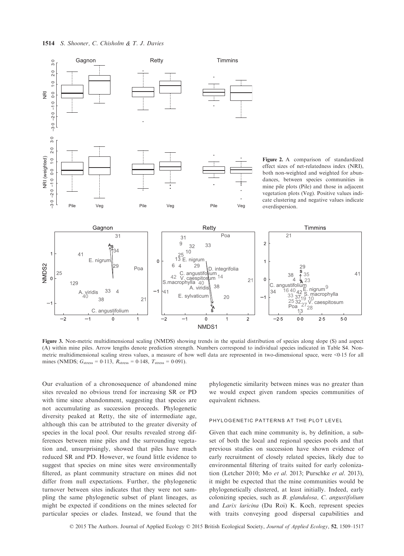

Figure 3. Non-metric multidimensional scaling (NMDS) showing trends in the spatial distribution of species along slope (S) and aspect (A) within mine piles. Arrow lengths denote prediction strength. Numbers correspond to individual species indicated in Table S4. Nonmetric multidimensional scaling stress values, a measure of how well data are represented in two-dimensional space, were <015 for all mines (NMDS;  $G_{\text{stress}} = 0.113$ ,  $R_{\text{stress}} = 0.148$ ,  $T_{\text{stress}} = 0.091$ ).

Our evaluation of a chronosequence of abandoned mine sites revealed no obvious trend for increasing SR or PD with time since abandonment, suggesting that species are not accumulating as succession proceeds. Phylogenetic diversity peaked at Retty, the site of intermediate age, although this can be attributed to the greater diversity of species in the local pool. Our results revealed strong differences between mine piles and the surrounding vegetation and, unsurprisingly, showed that piles have much reduced SR and PD. However, we found little evidence to suggest that species on mine sites were environmentally filtered, as plant community structure on mines did not differ from null expectations. Further, the phylogenetic turnover between sites indicates that they were not sampling the same phylogenetic subset of plant lineages, as might be expected if conditions on the mines selected for particular species or clades. Instead, we found that the phylogenetic similarity between mines was no greater than we would expect given random species communities of equivalent richness.

 $41$ 

 $5-0$ 

## PHYLOGENETIC PATTERNS AT THE PLOT LEVEL

Given that each mine community is, by definition, a subset of both the local and regional species pools and that previous studies on succession have shown evidence of early recruitment of closely related species, likely due to environmental filtering of traits suited for early colonization (Letcher 2010; Mo et al. 2013; Purschke et al. 2013), it might be expected that the mine communities would be phylogenetically clustered, at least initially. Indeed, early colonizing species, such as B. glandulosa, C. angustifolium and Larix laricina (Du Roi) K. Koch, represent species with traits conveying good dispersal capabilities and

© 2015 The Authors. Journal of Applied Ecology © 2015 British Ecological Society, Journal of Applied Ecology, 52, 1509–1517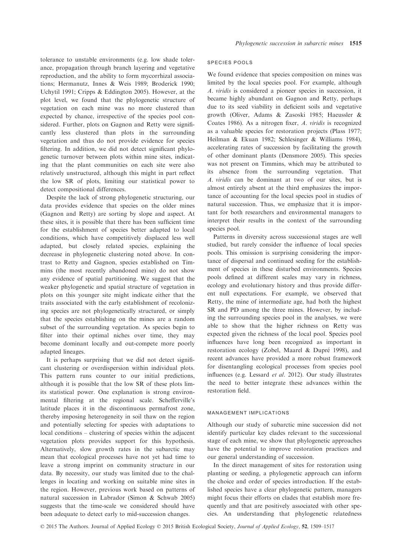tolerance to unstable environments (e.g. low shade tolerance, propagation through branch layering and vegetative reproduction, and the ability to form mycorrhizal associations; Hermanutz, Innes & Weis 1989; Broderick 1990; Uchytil 1991; Cripps & Eddington 2005). However, at the plot level, we found that the phylogenetic structure of vegetation on each mine was no more clustered than expected by chance, irrespective of the species pool considered. Further, plots on Gagnon and Retty were significantly less clustered than plots in the surrounding vegetation and thus do not provide evidence for species filtering. In addition, we did not detect significant phylogenetic turnover between plots within mine sites, indicating that the plant communities on each site were also relatively unstructured, although this might in part reflect the low SR of plots, limiting our statistical power to detect compositional differences.

Despite the lack of strong phylogenetic structuring, our data provides evidence that species on the older mines (Gagnon and Retty) are sorting by slope and aspect. At these sites, it is possible that there has been sufficient time for the establishment of species better adapted to local conditions, which have competitively displaced less well adapted, but closely related species, explaining the decrease in phylogenetic clustering noted above. In contrast to Retty and Gagnon, species established on Timmins (the most recently abandoned mine) do not show any evidence of spatial partitioning. We suggest that the weaker phylogenetic and spatial structure of vegetation in plots on this younger site might indicate either that the traits associated with the early establishment of recolonizing species are not phylogenetically structured, or simply that the species establishing on the mines are a random subset of the surrounding vegetation. As species begin to filter into their optimal niches over time, they may become dominant locally and out-compete more poorly adapted lineages.

It is perhaps surprising that we did not detect significant clustering or overdispersion within individual plots. This pattern runs counter to our initial predictions, although it is possible that the low SR of these plots limits statistical power. One explanation is strong environmental filtering at the regional scale. Schefferville's latitude places it in the discontinuous permafrost zone, thereby imposing heterogeneity in soil thaw on the region and potentially selecting for species with adaptations to local conditions – clustering of species within the adjacent vegetation plots provides support for this hypothesis. Alternatively, slow growth rates in the subarctic may mean that ecological processes have not yet had time to leave a strong imprint on community structure in our data. By necessity, our study was limited due to the challenges in locating and working on suitable mine sites in the region. However, previous work based on patterns of natural succession in Labrador (Simon & Schwab 2005) suggests that the time-scale we considered should have been adequate to detect early to mid-succession changes.

## SPECIES POOLS

We found evidence that species composition on mines was limited by the local species pool. For example, although A. viridis is considered a pioneer species in succession, it became highly abundant on Gagnon and Retty, perhaps due to its seed viability in deficient soils and vegetative growth (Oliver, Adams & Zasoski 1985; Haeussler & Coates 1986). As a nitrogen fixer, A. viridis is recognized as a valuable species for restoration projects (Plass 1977; Heilman & Ekuan 1982; Schlesinger & Williams 1984), accelerating rates of succession by facilitating the growth of other dominant plants (Densmore 2005). This species was not present on Timmins, which may be attributed to its absence from the surrounding vegetation. That A. viridis can be dominant at two of our sites, but is almost entirely absent at the third emphasizes the importance of accounting for the local species pool in studies of natural succession. Thus, we emphasize that it is important for both researchers and environmental managers to interpret their results in the context of the surrounding species pool.

Patterns in diversity across successional stages are well studied, but rarely consider the influence of local species pools. This omission is surprising considering the importance of dispersal and continued seeding for the establishment of species in these disturbed environments. Species pools defined at different scales may vary in richness, ecology and evolutionary history and thus provide different null expectations. For example, we observed that Retty, the mine of intermediate age, had both the highest SR and PD among the three mines. However, by including the surrounding species pool in the analyses, we were able to show that the higher richness on Retty was expected given the richness of the local pool. Species pool influences have long been recognized as important in restoration ecology (Zobel, Maarel & Dupré 1998), and recent advances have provided a more robust framework for disentangling ecological processes from species pool influences (e.g. Lessard et al. 2012). Our study illustrates the need to better integrate these advances within the restoration field.

#### MANAGEMENT IMPLICATIONS

Although our study of subarctic mine succession did not identify particular key clades relevant to the successional stage of each mine, we show that phylogenetic approaches have the potential to improve restoration practices and our general understanding of succession.

In the direct management of sites for restoration using planting or seeding, a phylogenetic approach can inform the choice and order of species introduction. If the established species have a clear phylogenetic pattern, managers might focus their efforts on clades that establish more frequently and that are positively associated with other species. An understanding that phylogenetic relatedness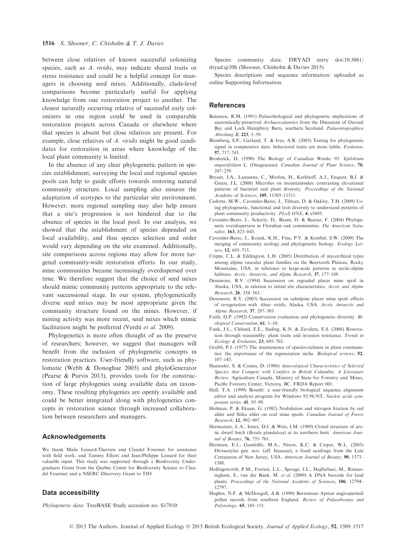between close relatives of known successful colonizing species, such as A. viridis, may indicate shared traits or stress resistance and could be a helpful concept for managers in choosing seed mixes. Additionally, clade-level comparisons become particularly useful for applying knowledge from one restoration project to another. The closest naturally occurring relative of successful early colonizers in one region could be used in comparable restoration projects across Canada or elsewhere where that species is absent but close relatives are present. For example, close relatives of A. viridis might be good candidates for restoration in areas where knowledge of the local plant community is limited.

In the absence of any clear phylogenetic pattern in species establishment, surveying the local and regional species pools can help to guide efforts towards restoring natural community structure. Local sampling also ensures the adaptation of ecotypes to the particular site environment. However, more regional sampling may also help ensure that a site's progression is not hindered due to the absence of species in the local pool. In our analysis, we showed that the establishment of species depended on local availability, and thus species selection and order would vary depending on the site examined. Additionally, site comparisons across regions may allow for more targeted community-wide restoration efforts. In our study, mine communities became increasingly overdispersed over time. We therefore suggest that the choice of seed mixes should mimic community patterns appropriate to the relevant successional stage. In our system, phylogenetically diverse seed mixes may be most appropriate given the community structure found on the mines. However, if mining activity was more recent, seed mixes which mimic facilitation might be preferred (Verdú et al. 2009).

Phylogenetics is more often thought of as the preserve of researchers; however, we suggest that managers will benefit from the inclusion of phylogenetic concepts in restoration practices. User-friendly software, such as phylomatic (Webb & Donoghue 2005) and phyloGenerator (Pearse & Purvis 2013), provides tools for the construction of large phylogenies using available data on taxonomy. These resulting phylogenies are openly available and could be better integrated along with phylogenetics concepts in restoration science through increased collaboration between researchers and managers.

#### Acknowledgements

We thank Malie Lessard-Therrien and Claudel Fournier for assistance with field work, and Tammy Elliott and Jean-Philippe Lessard for their valuable input. This study was supported through a Biodiversity Undergraduate Grant from the Quebec Center for Biodiversity Science to Claudel Fournier and a NSERC Discovery Grant to TJD.

## Data accessibility

Phylogenetic data: TreeBASE Study accession no. S17810

Species community data: DRYAD entry doi[:10.5061/](http://dx.doi.org/10.5061/dryad.qt30h) [dryad.qt30h](http://dx.doi.org/10.5061/dryad.qt30h) (Shooner, Chisholm & Davies 2015)

Species descriptions and sequence information: uploaded as online Supporting Information.

#### References

- Bateman, R.M. (1991) Palaeobiological and phylogenetic implications of anatomically-preserved Archaeocalamites from the Dinantian of Oxroad Bay and Loch Humphrey Burn, southern Scotland. Palaeontographica Abteilung B, 223, 1–59.
- Blomberg, S.P., Garland, T. & Ives, A.R. (2003) Testing for phylogenetic signal in comparative data: behavioral traits are more labile. Evolution, 57, 717–745.
- Broderick, D. (1990) The Biology of Canadian Weeds: 93. Epilobium angustifolium L. (Onagraceae). Canadian Journal of Plant Science, 70,  $247 - 259$
- Bryant, J.A., Lamanna, C., Morlon, H., Kerkhoff, A.J., Enquist, B.J. & Green, J.L. (2008) Microbes on mountainsides: contrasting elevational patterns of bacterial and plant diversity. Proceedings of the National Academy of Sciences, 105, 11505–11511.
- Cadotte, M.W., Cavender-Bares, J., Tilman, D. & Oakley, T.H. (2009) Using phylogenetic, functional and trait diversity to understand patterns of plant community productivity. PLoS ONE, 4, e5695.
- Cavender-Bares, J., Ackerly, D., Baum, D. & Bazzaz, F. (2004) Phylogenetic overdispersion in Floridian oak communities. The American Naturalist, 163, 823–843.
- Cavender-Bares, J., Kozak, K.H., Fine, P.V. & Kembel, S.W. (2009) The merging of community ecology and phylogenetic biology. Ecology Letters, 12, 693–715.
- Cripps, C.L. & Eddington, L.H. (2005) Distribution of mycorrhizal types among alpine vascular plant families on the Beartooth Plateau, Rocky Mountains, USA, in reference to large-scale patterns in arctic-alpine habitats. Arctic, Antarctic, and Alpine Research, 37, 177–188.
- Densmore, R.V. (1994) Succession on regraded placer mine spoil in Alaska, USA, in relation to initial site characteristics. Arctic and Alpine Research, 26, 354–363.
- Densmore, R.V. (2005) Succession on subalpine placer mine spoil: effects of revegetation with Alnus viridis, Alaska, USA. Arctic Antarctic and Alpine Research, 37, 297–303.
- Faith, D.P. (1992) Conservation evaluation and phylogenetic diversity. Biological Conservation, 61, 1–10.
- Funk, J.L., Cleland, E.E., Suding, K.N. & Zavaleta, E.S. (2008) Restoration through reassembly: plant traits and invasion resistance. Trends in Ecology & Evolution, 23, 695–703.
- Grubb, P.J. (1977) The maintenance of species-richness in plant communities: the importance of the regeneration niche. Biological reviews, 52, 107–145.
- Haeussler, S. & Coates, D. (1986) Autecological Characteristics of Selected Species that Compete with Conifers in British Columbia: A Literature Review. Agriculture Canada, Ministry of State for Forestry and Mines, Pacific Forestry Center, Victoria, BC. FRDA Report 001.
- Hall, T.A. (1999) Bioedit: a user-friendly biological sequence alignment editor and analysis program for Windows 95/98/NT. Nucleic acids symposium series, 41, 95–98.
- Heilman, P. & Ekuan, G. (1982) Nodulation and nitrogen fixation by red alder and Sitka alder on coal mine spoils. Canadian Journal of Forest Research, 12, 992–997.
- Hermanutz, L.A., Innes, D.J. & Weis, I.M. (1989) Clonal structure of arctic dwarf birch (Betula glandulosa) at its northern limit. American Journal of Botany, 76, 755–761.
- Hermsen, E.J., Gandolfo, M.A., Nixon, K.C. & Crepet, W.L. (2003) Divisestylus gen. nov. (aff. Iteaceae), a fossil saxifrage from the Late Cretaceous of New Jersey, USA. American Journal of Botany, 90, 1373– 1388.
- Hollingsworth, P.M., Forrest, L.L., Spouge, J.L., Hajibabaei, M., Ratnasingham, S., van der Bank, M. et al. (2009) A DNA barcode for land plants. Proceedings of the National Academy of Sciences, 106, 12794– 12797.
- Hughes, N.F. & McDougall, A.B. (1990) Barremian–Aptian angiospermid pollen records from southern England. Review of Palaeobotany and Palynology, 65, 145–151.